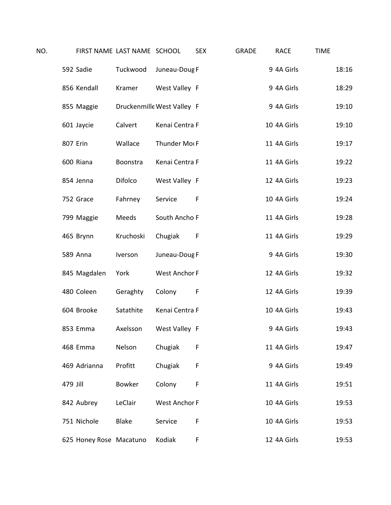| NO. |          |                         | FIRST NAME LAST NAME SCHOOL |                            | <b>SEX</b> | <b>GRADE</b> | <b>RACE</b> | <b>TIME</b> |       |
|-----|----------|-------------------------|-----------------------------|----------------------------|------------|--------------|-------------|-------------|-------|
|     |          | 592 Sadie               | Tuckwood                    | Juneau-Doug F              |            |              | 9 4A Girls  |             | 18:16 |
|     |          | 856 Kendall             | Kramer                      | West Valley F              |            |              | 9 4A Girls  |             | 18:29 |
|     |          | 855 Maggie              |                             | Druckenmille West Valley F |            |              | 9 4A Girls  |             | 19:10 |
|     |          | 601 Jaycie              | Calvert                     | Kenai Centra F             |            |              | 10 4A Girls |             | 19:10 |
|     | 807 Erin |                         | Wallace                     | Thunder Mot F              |            |              | 11 4A Girls |             | 19:17 |
|     |          | 600 Riana               | Boonstra                    | Kenai Centra F             |            |              | 11 4A Girls |             | 19:22 |
|     |          | 854 Jenna               | Difolco                     | West Valley F              |            |              | 12 4A Girls |             | 19:23 |
|     |          | 752 Grace               | Fahrney                     | Service                    | F          |              | 10 4A Girls |             | 19:24 |
|     |          | 799 Maggie              | Meeds                       | South Ancho F              |            |              | 11 4A Girls |             | 19:28 |
|     |          | 465 Brynn               | Kruchoski                   | Chugiak                    | F          |              | 11 4A Girls |             | 19:29 |
|     |          | 589 Anna                | Iverson                     | Juneau-Doug F              |            |              | 9 4A Girls  |             | 19:30 |
|     |          | 845 Magdalen            | York                        | West Anchor F              |            |              | 12 4A Girls |             | 19:32 |
|     |          | 480 Coleen              | Geraghty                    | Colony                     | F          |              | 12 4A Girls |             | 19:39 |
|     |          | 604 Brooke              | Satathite                   | Kenai Centra F             |            |              | 10 4A Girls |             | 19:43 |
|     |          | 853 Emma                | Axelsson                    | West Valley F              |            |              | 9 4A Girls  |             | 19:43 |
|     |          | 468 Emma                | Nelson                      | Chugiak                    | F          |              | 11 4A Girls |             | 19:47 |
|     |          | 469 Adrianna            | Profitt                     | Chugiak                    | F          |              | 9 4A Girls  |             | 19:49 |
|     | 479 Jill |                         | <b>Bowker</b>               | Colony                     | F          |              | 11 4A Girls |             | 19:51 |
|     |          | 842 Aubrey              | LeClair                     | <b>West Anchor F</b>       |            |              | 10 4A Girls |             | 19:53 |
|     |          | 751 Nichole             | <b>Blake</b>                | Service                    | F          |              | 10 4A Girls |             | 19:53 |
|     |          | 625 Honey Rose Macatuno |                             | Kodiak                     | F          |              | 12 4A Girls |             | 19:53 |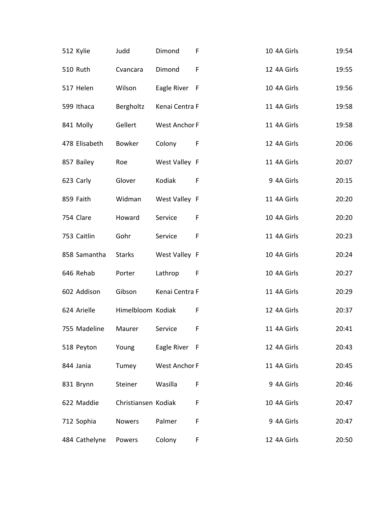| 512 Kylie     | Judd                | Dimond                    | F            | 10 4A Girls | 19:54 |
|---------------|---------------------|---------------------------|--------------|-------------|-------|
| 510 Ruth      | Cvancara            | Dimond                    | F            | 12 4A Girls | 19:55 |
| 517 Helen     | Wilson              | Eagle River F             |              | 10 4A Girls | 19:56 |
| 599 Ithaca    | Bergholtz           | Kenai Centra F            |              | 11 4A Girls | 19:58 |
| 841 Molly     | Gellert             | West Anchor F             |              | 11 4A Girls | 19:58 |
| 478 Elisabeth | Bowker              | Colony                    | $\mathsf{F}$ | 12 4A Girls | 20:06 |
| 857 Bailey    | Roe                 | West Valley F             |              | 11 4A Girls | 20:07 |
| 623 Carly     | Glover              | Kodiak                    | - F          | 9 4A Girls  | 20:15 |
| 859 Faith     | Widman              | West Valley F             |              | 11 4A Girls | 20:20 |
| 754 Clare     | Howard              | Service                   | F            | 10 4A Girls | 20:20 |
| 753 Caitlin   | Gohr                | Service                   | F            | 11 4A Girls | 20:23 |
| 858 Samantha  | <b>Starks</b>       | West Valley F             |              | 10 4A Girls | 20:24 |
| 646 Rehab     | Porter              | Lathrop<br>$\overline{F}$ |              | 10 4A Girls | 20:27 |
| 602 Addison   | Gibson              | Kenai Centra F            |              | 11 4A Girls | 20:29 |
| 624 Arielle   | Himelbloom Kodiak   |                           | F            | 12 4A Girls | 20:37 |
| 755 Madeline  | Maurer              | Service                   | F            | 11 4A Girls | 20:41 |
| 518 Peyton    | Young               | Eagle River F             |              | 12 4A Girls | 20:43 |
| 844 Jania     | Tumey               | <b>West Anchor F</b>      |              | 11 4A Girls | 20:45 |
| 831 Brynn     | Steiner             | Wasilla                   | F            | 9 4A Girls  | 20:46 |
| 622 Maddie    | Christiansen Kodiak |                           | F            | 10 4A Girls | 20:47 |
| 712 Sophia    | <b>Nowers</b>       | Palmer                    | F            | 9 4A Girls  | 20:47 |
| 484 Cathelyne | Powers              | Colony                    | F            | 12 4A Girls | 20:50 |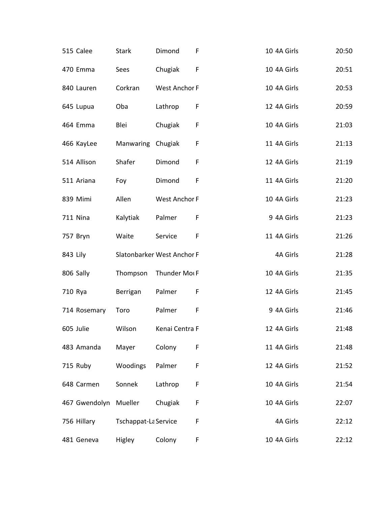| 515 Calee       | <b>Stark</b>         | Dimond                     | F           | 10 4A Girls | 20:50 |
|-----------------|----------------------|----------------------------|-------------|-------------|-------|
| 470 Emma        | Sees                 | Chugiak                    | F           | 10 4A Girls | 20:51 |
| 840 Lauren      | Corkran              | West Anchor F              |             | 10 4A Girls | 20:53 |
| 645 Lupua       | Oba                  | Lathrop                    | F           | 12 4A Girls | 20:59 |
| 464 Emma        | Blei                 | Chugiak                    | F           | 10 4A Girls | 21:03 |
| 466 KayLee      | Manwaring Chugiak    |                            | F           | 11 4A Girls | 21:13 |
| 514 Allison     | Shafer               | Dimond                     | F           | 12 4A Girls | 21:19 |
| 511 Ariana      | Foy                  | Dimond                     | $\mathsf F$ | 11 4A Girls | 21:20 |
| 839 Mimi        | Allen                | West Anchor F              |             | 10 4A Girls | 21:23 |
| <b>711 Nina</b> | Kalytiak             | Palmer                     | F           | 9 4A Girls  | 21:23 |
| 757 Bryn        | Waite                | Service                    | F           | 11 4A Girls | 21:26 |
| 843 Lily        |                      | Slatonbarker West Anchor F |             | 4A Girls    | 21:28 |
| 806 Sally       | Thompson             | Thunder Mot F              |             | 10 4A Girls | 21:35 |
| 710 Rya         | Berrigan             | Palmer                     | F           | 12 4A Girls | 21:45 |
| 714 Rosemary    | Toro                 | Palmer                     | $\mathsf F$ | 9 4A Girls  | 21:46 |
| 605 Julie       | Wilson               | Kenai Centra F             |             | 12 4A Girls | 21:48 |
| 483 Amanda      | Mayer                | Colony                     | F           | 11 4A Girls | 21:48 |
| 715 Ruby        | Woodings             | Palmer                     | F           | 12 4A Girls | 21:52 |
| 648 Carmen      | Sonnek               | Lathrop                    | F           | 10 4A Girls | 21:54 |
| 467 Gwendolyn   | Mueller              | Chugiak                    | F           | 10 4A Girls | 22:07 |
| 756 Hillary     | Tschappat-La Service |                            | F           | 4A Girls    | 22:12 |
| 481 Geneva      | Higley               | Colony                     | F           | 10 4A Girls | 22:12 |